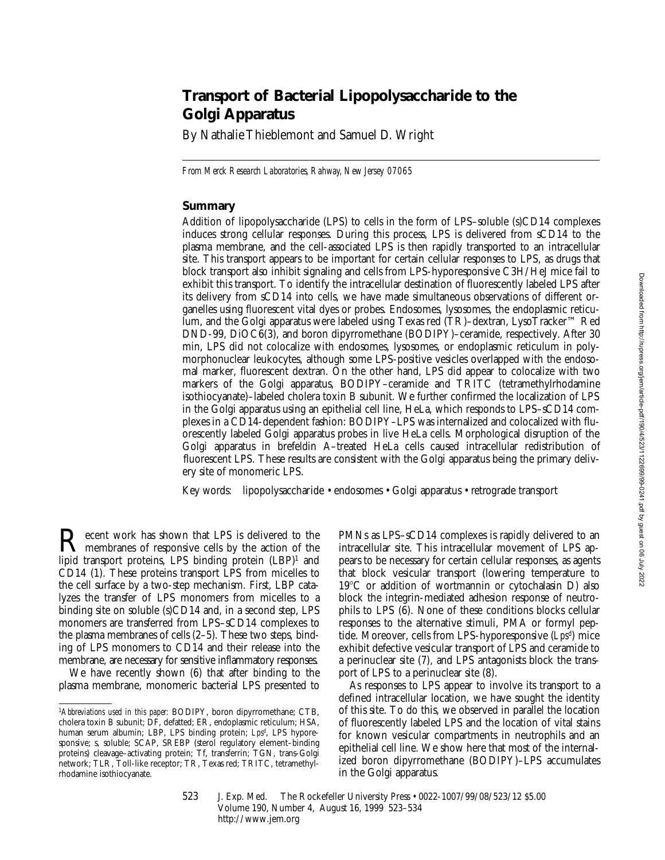# **Transport of Bacterial Lipopolysaccharide to the Golgi Apparatus**

By Nathalie Thieblemont and Samuel D. Wright

*From Merck Research Laboratories, Rahway, New Jersey 07065*

## **Summary**

Addition of lipopolysaccharide (LPS) to cells in the form of LPS–soluble (s)CD14 complexes induces strong cellular responses. During this process, LPS is delivered from sCD14 to the plasma membrane, and the cell-associated LPS is then rapidly transported to an intracellular site. This transport appears to be important for certain cellular responses to LPS, as drugs that block transport also inhibit signaling and cells from LPS-hyporesponsive C3H/HeJ mice fail to exhibit this transport. To identify the intracellular destination of fluorescently labeled LPS after its delivery from sCD14 into cells, we have made simultaneous observations of different organelles using fluorescent vital dyes or probes. Endosomes, lysosomes, the endoplasmic reticulum, and the Golgi apparatus were labeled using Texas red (TR)–dextran, LysoTracker™ Red DND-99, DiOC6(3), and boron dipyrromethane (BODIPY)–ceramide, respectively. After 30 min, LPS did not colocalize with endosomes, lysosomes, or endoplasmic reticulum in polymorphonuclear leukocytes, although some LPS-positive vesicles overlapped with the endosomal marker, fluorescent dextran. On the other hand, LPS did appear to colocalize with two markers of the Golgi apparatus, BODIPY–ceramide and TRITC (tetramethylrhodamine isothiocyanate)–labeled cholera toxin B subunit. We further confirmed the localization of LPS in the Golgi apparatus using an epithelial cell line, HeLa, which responds to LPS–sCD14 complexes in a CD14-dependent fashion: BODIPY–LPS was internalized and colocalized with fluorescently labeled Golgi apparatus probes in live HeLa cells. Morphological disruption of the Golgi apparatus in brefeldin A–treated HeLa cells caused intracellular redistribution of fluorescent LPS. These results are consistent with the Golgi apparatus being the primary delivery site of monomeric LPS.

Key words: lipopolysaccharide • endosomes • Golgi apparatus • retrograde transport

Recent work has shown that LPS is delivered to the<br>membranes of responsive cells by the action of the<br>limid transport metaling LPS hinding quantity (LPD) lipid transport proteins, LPS binding protein (LBP)<sup>1</sup> and CD14 (1). These proteins transport LPS from micelles to the cell surface by a two-step mechanism. First, LBP catalyzes the transfer of LPS monomers from micelles to a binding site on soluble (s)CD14 and, in a second step, LPS monomers are transferred from LPS–sCD14 complexes to the plasma membranes of cells (2–5). These two steps, binding of LPS monomers to CD14 and their release into the membrane, are necessary for sensitive inflammatory responses.

We have recently shown (6) that after binding to the plasma membrane, monomeric bacterial LPS presented to

PMNs as LPS–sCD14 complexes is rapidly delivered to an intracellular site. This intracellular movement of LPS appears to be necessary for certain cellular responses, as agents that block vesicular transport (lowering temperature to 19°C or addition of wortmannin or cytochalasin D) also block the integrin-mediated adhesion response of neutrophils to LPS (6). None of these conditions blocks cellular responses to the alternative stimuli, PMA or formyl peptide. Moreover, cells from LPS-hyporesponsive (*Lpsd* ) mice exhibit defective vesicular transport of LPS and ceramide to a perinuclear site (7), and LPS antagonists block the transport of LPS to a perinuclear site (8).

As responses to LPS appear to involve its transport to a defined intracellular location, we have sought the identity of this site. To do this, we observed in parallel the location of fluorescently labeled LPS and the location of vital stains for known vesicular compartments in neutrophils and an epithelial cell line. We show here that most of the internalized boron dipyrromethane (BODIPY)–LPS accumulates in the Golgi apparatus.

523 J. Exp. Med. © The Rockefeller University Press • 0022-1007/99/08/523/12 \$5.00 Volume 190, Number 4, August 16, 1999 523–534 http://www.jem.org

<sup>1</sup>*Abbreviations used in this paper:* BODIPY, boron dipyrromethane; CTB, cholera toxin B subunit; DF, defatted; ER, endoplasmic reticulum; HSA, human serum albumin; LBP, LPS binding protein; *Lpsd* , LPS hyporesponsive; s, soluble; SCAP, SREBP (sterol regulatory element–binding proteins) cleavage–activating protein; Tf, transferrin; TGN, trans-Golgi network; TLR, Toll-like receptor; TR, Texas red; TRITC, tetramethylrhodamine isothiocyanate.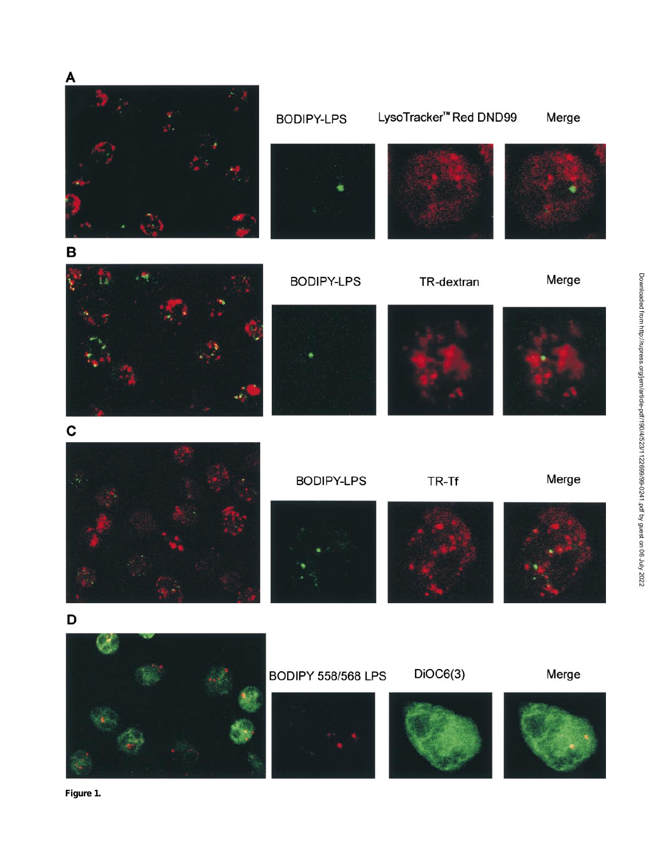

**Figure 1.**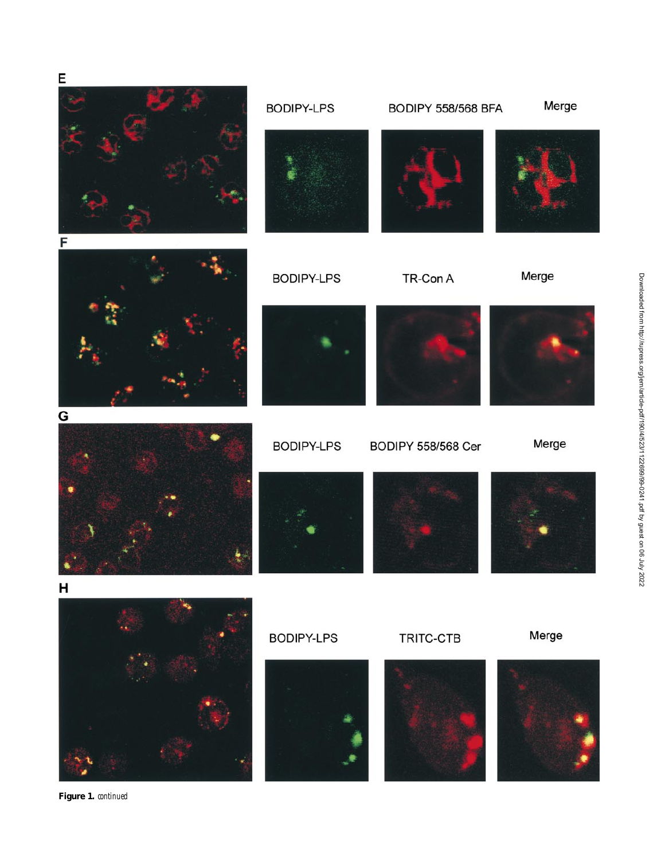

**Figure 1.** *continued*

Downloaded from http://rupress.org/jem/article-pdf/190/4/5231112269999-0241.pdf by guest on 06 July 2022 Downloaded from http://rupress.org/jem/article-pdf/190/4/523/1122699/99-0241.pdf by guest on 06 July 2022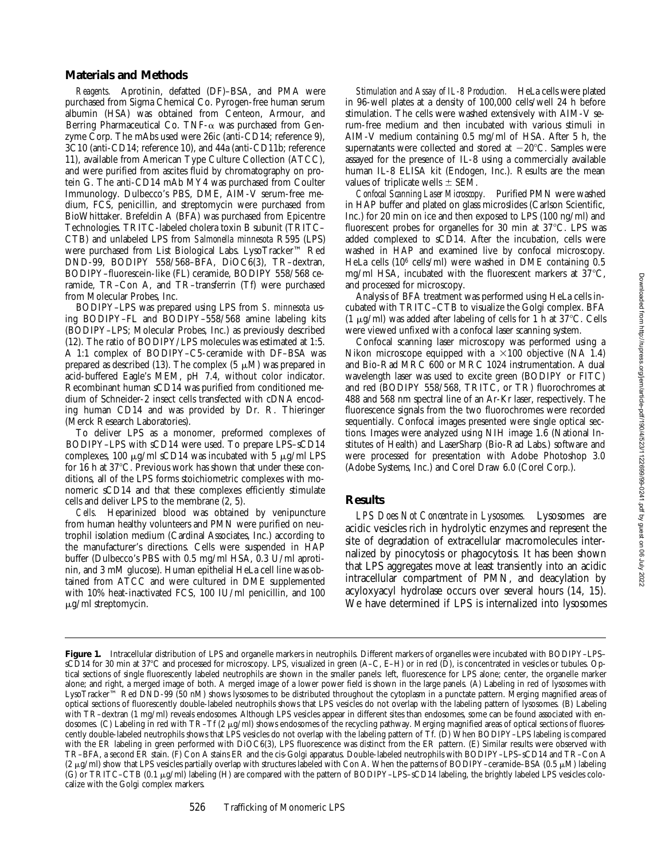## **Materials and Methods**

*Reagents.* Aprotinin, defatted (DF)–BSA, and PMA were purchased from Sigma Chemical Co. Pyrogen-free human serum albumin (HSA) was obtained from Centeon, Armour, and Berring Pharmaceutical Co. TNF- $\alpha$  was purchased from Genzyme Corp. The mAbs used were 26ic (anti-CD14; reference 9), 3C10 (anti-CD14; reference 10), and 44a (anti-CD11b; reference 11), available from American Type Culture Collection (ATCC), and were purified from ascites fluid by chromatography on protein G. The anti-CD14 mAb MY4 was purchased from Coulter Immunology. Dulbecco's PBS, DME, AIM-V serum-free medium, FCS, penicillin, and streptomycin were purchased from BioWhittaker. Brefeldin A (BFA) was purchased from Epicentre Technologies. TRITC-labeled cholera toxin B subunit (TRITC– CTB) and unlabeled LPS from *Salmonella minnesota* R595 (LPS) were purchased from List Biological Labs. LysoTracker™ Red DND-99, BODIPY 558/568–BFA, DiOC6(3), TR–dextran, BODIPY–fluorescein-like (FL) ceramide, BODIPY 558/568 ceramide, TR–Con A, and TR–transferrin (Tf) were purchased from Molecular Probes, Inc.

BODIPY–LPS was prepared using LPS from *S. minnesota* using BODIPY–FL and BODIPY–558/568 amine labeling kits (BODIPY–LPS; Molecular Probes, Inc.) as previously described (12). The ratio of BODIPY/LPS molecules was estimated at 1:5. A 1:1 complex of BODIPY–C5-ceramide with DF–BSA was prepared as described (13). The complex (5  $\mu$ M) was prepared in acid-buffered Eagle's MEM, pH 7.4, without color indicator. Recombinant human sCD14 was purified from conditioned medium of Schneider-2 insect cells transfected with cDNA encoding human CD14 and was provided by Dr. R. Thieringer (Merck Research Laboratories).

To deliver LPS as a monomer, preformed complexes of BODIPY–LPS with sCD14 were used. To prepare LPS–sCD14 complexes, 100  $\mu$ g/ml sCD14 was incubated with 5  $\mu$ g/ml LPS for 16 h at  $37^{\circ}$ C. Previous work has shown that under these conditions, all of the LPS forms stoichiometric complexes with monomeric sCD14 and that these complexes efficiently stimulate cells and deliver LPS to the membrane (2, 5).

*Cells.* Heparinized blood was obtained by venipuncture from human healthy volunteers and PMN were purified on neutrophil isolation medium (Cardinal Associates, Inc.) according to the manufacturer's directions. Cells were suspended in HAP buffer (Dulbecco's PBS with 0.5 mg/ml HSA, 0.3 U/ml aprotinin, and 3 mM glucose). Human epithelial HeLa cell line was obtained from ATCC and were cultured in DME supplemented with 10% heat-inactivated FCS, 100 IU/ml penicillin, and 100  $\mu$ g/ml streptomycin.

*Stimulation and Assay of IL-8 Production.* HeLa cells were plated in 96-well plates at a density of 100,000 cells/well 24 h before stimulation. The cells were washed extensively with AIM-V serum-free medium and then incubated with various stimuli in AIM-V medium containing 0.5 mg/ml of HSA. After 5 h, the supernatants were collected and stored at  $-20^{\circ}$ C. Samples were assayed for the presence of IL-8 using a commercially available human IL-8 ELISA kit (Endogen, Inc.). Results are the mean values of triplicate wells  $\pm$  SEM.

*Confocal Scanning Laser Microscopy.* Purified PMN were washed in HAP buffer and plated on glass microslides (Carlson Scientific, Inc.) for 20 min on ice and then exposed to LPS (100 ng/ml) and fluorescent probes for organelles for 30 min at  $37^{\circ}$ C. LPS was added complexed to sCD14. After the incubation, cells were washed in HAP and examined live by confocal microscopy. HeLa cells (106 cells/ml) were washed in DME containing 0.5 mg/ml HSA, incubated with the fluorescent markers at  $37^{\circ}$ C, and processed for microscopy.

Analysis of BFA treatment was performed using HeLa cells incubated with TRITC–CTB to visualize the Golgi complex. BFA (1  $\mu$ g/ml) was added after labeling of cells for 1 h at 37 °C. Cells were viewed unfixed with a confocal laser scanning system.

Confocal scanning laser microscopy was performed using a Nikon microscope equipped with a  $\times 100$  objective (NA 1.4) and Bio-Rad MRC 600 or MRC 1024 instrumentation. A dual wavelength laser was used to excite green (BODIPY or FITC) and red (BODIPY 558/568, TRITC, or TR) fluorochromes at 488 and 568 nm spectral line of an Ar-Kr laser, respectively. The fluorescence signals from the two fluorochromes were recorded sequentially. Confocal images presented were single optical sections. Images were analyzed using NIH image 1.6 (National Institutes of Health) and LaserSharp (Bio-Rad Labs.) software and were processed for presentation with Adobe Photoshop 3.0 (Adobe Systems, Inc.) and Corel Draw 6.0 (Corel Corp.).

## **Results**

*LPS Does Not Concentrate in Lysosomes.* Lysosomes are acidic vesicles rich in hydrolytic enzymes and represent the site of degradation of extracellular macromolecules internalized by pinocytosis or phagocytosis. It has been shown that LPS aggregates move at least transiently into an acidic intracellular compartment of PMN, and deacylation by acyloxyacyl hydrolase occurs over several hours (14, 15). We have determined if LPS is internalized into lysosomes

**Figure 1.** Intracellular distribution of LPS and organelle markers in neutrophils. Different markers of organelles were incubated with BODIPY–LPS– sCD14 for 30 min at 37°C and processed for microscopy. LPS, visualized in green (A–C, E–H) or in red (D), is concentrated in vesicles or tubules. Optical sections of single fluorescently labeled neutrophils are shown in the smaller panels: left, fluorescence for LPS alone; center, the organelle marker alone; and right, a merged image of both. A merged image of a lower power field is shown in the large panels. (A) Labeling in red of lysosomes with LysoTracker™ Red DND-99 (50 nM) shows lysosomes to be distributed throughout the cytoplasm in a punctate pattern. Merging magnified areas of optical sections of fluorescently double-labeled neutrophils shows that LPS vesicles do not overlap with the labeling pattern of lysosomes. (B) Labeling with TR-dextran (1 mg/ml) reveals endosomes. Although LPS vesicles appear in different sites than endosomes, some can be found associated with endosomes. (C) Labeling in red with TR–Tf (2  $\mu$ g/ml) shows endosomes of the recycling pathway. Merging magnified areas of optical sections of fluorescently double-labeled neutrophils shows that LPS vesicles do not overlap with the labeling pattern of Tf. (D) When BODIPY–LPS labeling is compared with the ER labeling in green performed with DiOC6(3), LPS fluorescence was distinct from the ER pattern. (E) Similar results were observed with TR–BFA, a second ER stain. (F) Con A stains ER and the cis-Golgi apparatus. Double-labeled neutrophils with BODIPY–LPS–sCD14 and TR–Con A (2  $\mu$ g/ml) show that LPS vesicles partially overlap with structures labeled with Con A. When the patterns of BODIPY–ceramide–BSA (0.5  $\mu$ M) labeling (G) or TRITC–CTB (0.1 μg/ml) labeling (H) are compared with the pattern of BODIPY–LPS–sCD14 labeling, the brightly labeled LPS vesicles colocalize with the Golgi complex markers.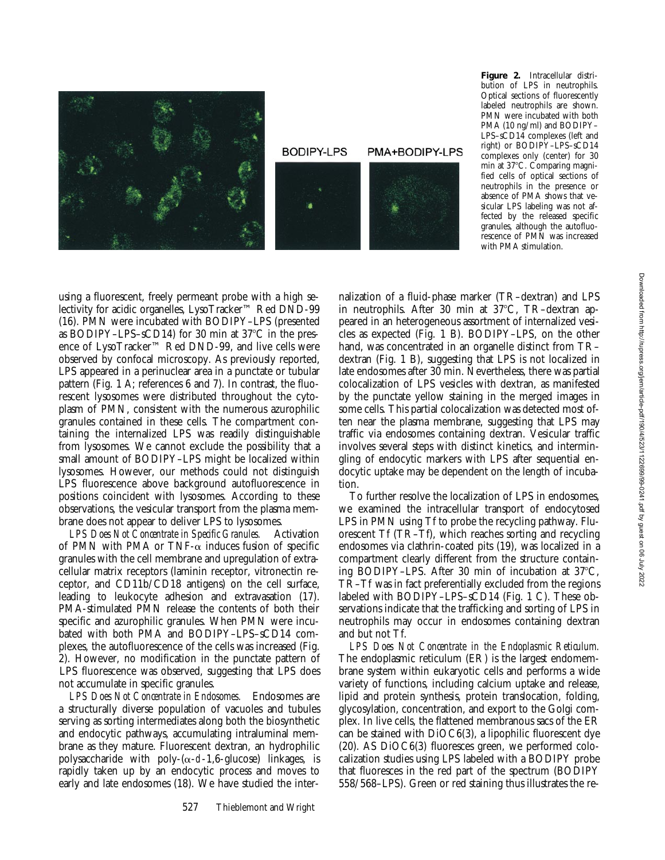

**Figure 2.** Intracellular distribution of LPS in neutrophils. Optical sections of fluorescently labeled neutrophils are shown. PMN were incubated with both PMA (10 ng/ml) and BODIPY– LPS–sCD14 complexes (left and right) or BODIPY–LPS–sCD14 complexes only (center) for 30 min at 37°C. Comparing magnified cells of optical sections of neutrophils in the presence or absence of PMA shows that vesicular LPS labeling was not affected by the released specific granules, although the autofluorescence of PMN was increased with PMA stimulation.

using a fluorescent, freely permeant probe with a high selectivity for acidic organelles, LysoTracker™ Red DND-99 (16). PMN were incubated with BODIPY–LPS (presented as BODIPY-LPS-sCD14) for 30 min at 37°C in the presence of LysoTracker™ Red DND-99, and live cells were observed by confocal microscopy. As previously reported, LPS appeared in a perinuclear area in a punctate or tubular pattern (Fig. 1 A; references 6 and 7). In contrast, the fluorescent lysosomes were distributed throughout the cytoplasm of PMN, consistent with the numerous azurophilic granules contained in these cells. The compartment containing the internalized LPS was readily distinguishable from lysosomes. We cannot exclude the possibility that a small amount of BODIPY–LPS might be localized within lysosomes. However, our methods could not distinguish LPS fluorescence above background autofluorescence in positions coincident with lysosomes. According to these observations, the vesicular transport from the plasma membrane does not appear to deliver LPS to lysosomes.

*LPS Does Not Concentrate in Specific Granules.* Activation of PMN with PMA or TNF- $\alpha$  induces fusion of specific granules with the cell membrane and upregulation of extracellular matrix receptors (laminin receptor, vitronectin receptor, and CD11b/CD18 antigens) on the cell surface, leading to leukocyte adhesion and extravasation (17). PMA-stimulated PMN release the contents of both their specific and azurophilic granules. When PMN were incubated with both PMA and BODIPY–LPS–sCD14 complexes, the autofluorescence of the cells was increased (Fig. 2). However, no modification in the punctate pattern of LPS fluorescence was observed, suggesting that LPS does not accumulate in specific granules.

*LPS Does Not Concentrate in Endosomes.* Endosomes are a structurally diverse population of vacuoles and tubules serving as sorting intermediates along both the biosynthetic and endocytic pathways, accumulating intraluminal membrane as they mature. Fluorescent dextran, an hydrophilic polysaccharide with poly- $(\alpha-d-1,6)$ -glucose) linkages, is rapidly taken up by an endocytic process and moves to early and late endosomes (18). We have studied the internalization of a fluid-phase marker (TR–dextran) and LPS in neutrophils. After 30 min at  $37^{\circ}$ C, TR-dextran appeared in an heterogeneous assortment of internalized vesicles as expected (Fig. 1 B). BODIPY–LPS, on the other hand, was concentrated in an organelle distinct from TRdextran (Fig. 1 B), suggesting that LPS is not localized in late endosomes after 30 min. Nevertheless, there was partial colocalization of LPS vesicles with dextran, as manifested by the punctate yellow staining in the merged images in some cells. This partial colocalization was detected most often near the plasma membrane, suggesting that LPS may traffic via endosomes containing dextran. Vesicular traffic involves several steps with distinct kinetics, and intermingling of endocytic markers with LPS after sequential endocytic uptake may be dependent on the length of incubation.

To further resolve the localization of LPS in endosomes, we examined the intracellular transport of endocytosed LPS in PMN using Tf to probe the recycling pathway. Fluorescent Tf (TR–Tf), which reaches sorting and recycling endosomes via clathrin-coated pits (19), was localized in a compartment clearly different from the structure containing BODIPY–LPS. After 30 min of incubation at  $37^{\circ}$ C, TR–Tf was in fact preferentially excluded from the regions labeled with BODIPY–LPS–sCD14 (Fig. 1 C). These observations indicate that the trafficking and sorting of LPS in neutrophils may occur in endosomes containing dextran and but not Tf.

*LPS Does Not Concentrate in the Endoplasmic Reticulum.* The endoplasmic reticulum (ER) is the largest endomembrane system within eukaryotic cells and performs a wide variety of functions, including calcium uptake and release, lipid and protein synthesis, protein translocation, folding, glycosylation, concentration, and export to the Golgi complex. In live cells, the flattened membranous sacs of the ER can be stained with DiOC6(3), a lipophilic fluorescent dye (20). AS DiOC6(3) fluoresces green, we performed colocalization studies using LPS labeled with a BODIPY probe that fluoresces in the red part of the spectrum (BODIPY 558/568–LPS). Green or red staining thus illustrates the re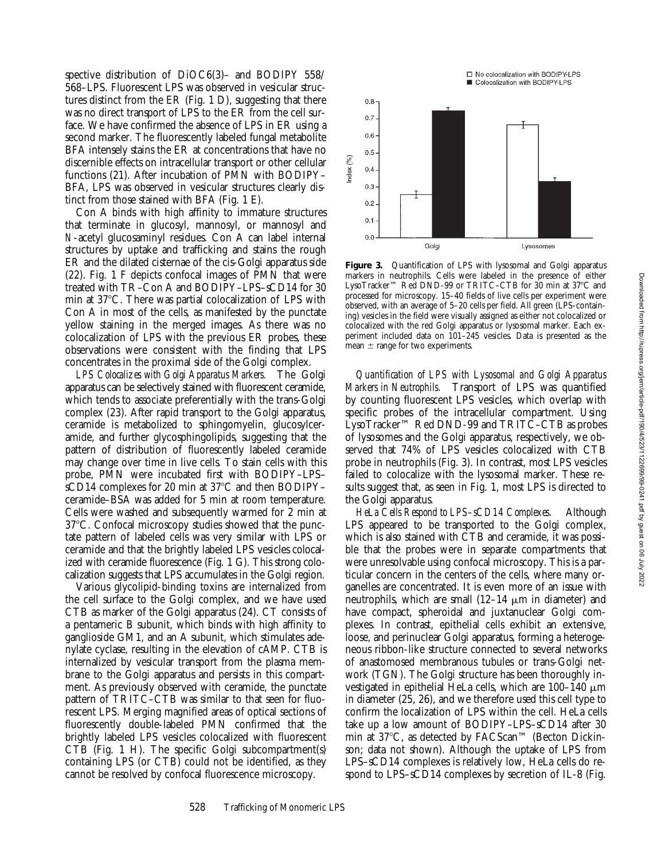spective distribution of DiOC6(3)– and BODIPY 558/ 568–LPS. Fluorescent LPS was observed in vesicular structures distinct from the ER (Fig. 1 D), suggesting that there was no direct transport of LPS to the ER from the cell surface. We have confirmed the absence of LPS in ER using a second marker. The fluorescently labeled fungal metabolite BFA intensely stains the ER at concentrations that have no discernible effects on intracellular transport or other cellular functions (21). After incubation of PMN with BODIPY– BFA, LPS was observed in vesicular structures clearly distinct from those stained with BFA (Fig. 1 E).

Con A binds with high affinity to immature structures that terminate in glucosyl, mannosyl, or mannosyl and *N*-acetyl glucosaminyl residues. Con A can label internal structures by uptake and trafficking and stains the rough ER and the dilated cisternae of the cis-Golgi apparatus side (22). Fig. 1 F depicts confocal images of PMN that were treated with TR–Con A and BODIPY–LPS–sCD14 for 30 min at 37<sup>o</sup>C. There was partial colocalization of LPS with Con A in most of the cells, as manifested by the punctate yellow staining in the merged images. As there was no colocalization of LPS with the previous ER probes, these observations were consistent with the finding that LPS concentrates in the proximal side of the Golgi complex.

*LPS Colocalizes with Golgi Apparatus Markers.* The Golgi apparatus can be selectively stained with fluorescent ceramide, which tends to associate preferentially with the trans-Golgi complex (23). After rapid transport to the Golgi apparatus, ceramide is metabolized to sphingomyelin, glucosylceramide, and further glycosphingolipids, suggesting that the pattern of distribution of fluorescently labeled ceramide may change over time in live cells. To stain cells with this probe, PMN were incubated first with BODIPY–LPS– sCD14 complexes for 20 min at  $37^{\circ}$ C and then BODIPY– ceramide–BSA was added for 5 min at room temperature. Cells were washed and subsequently warmed for 2 min at 37°C. Confocal microscopy studies showed that the punctate pattern of labeled cells was very similar with LPS or ceramide and that the brightly labeled LPS vesicles colocalized with ceramide fluorescence (Fig. 1 G). This strong colocalization suggests that LPS accumulates in the Golgi region.

Various glycolipid-binding toxins are internalized from the cell surface to the Golgi complex, and we have used CTB as marker of the Golgi apparatus (24). CT consists of a pentameric B subunit, which binds with high affinity to ganglioside GM1, and an A subunit, which stimulates adenylate cyclase, resulting in the elevation of cAMP. CTB is internalized by vesicular transport from the plasma membrane to the Golgi apparatus and persists in this compartment. As previously observed with ceramide, the punctate pattern of TRITC–CTB was similar to that seen for fluorescent LPS. Merging magnified areas of optical sections of fluorescently double-labeled PMN confirmed that the brightly labeled LPS vesicles colocalized with fluorescent CTB (Fig. 1 H). The specific Golgi subcompartment(s) containing LPS (or CTB) could not be identified, as they cannot be resolved by confocal fluorescence microscopy.



**Figure 3.** Quantification of LPS with lysosomal and Golgi apparatus markers in neutrophils. Cells were labeled in the presence of either LysoTracker™ Red DND-99 or TRITC–CTB for 30 min at 37°C and processed for microscopy. 15–40 fields of live cells per experiment were observed, with an average of 5–20 cells per field. All green (LPS-containing) vesicles in the field were visually assigned as either not colocalized or colocalized with the red Golgi apparatus or lysosomal marker. Each experiment included data on 101–245 vesicles. Data is presented as the mean  $\pm$  range for two experiments.

*Quantification of LPS with Lysosomal and Golgi Apparatus Markers in Neutrophils.* Transport of LPS was quantified by counting fluorescent LPS vesicles, which overlap with specific probes of the intracellular compartment. Using LysoTracker™ Red DND-99 and TRITC–CTB as probes of lysosomes and the Golgi apparatus, respectively, we observed that 74% of LPS vesicles colocalized with CTB probe in neutrophils (Fig. 3). In contrast, most LPS vesicles failed to colocalize with the lysosomal marker. These results suggest that, as seen in Fig. 1, most LPS is directed to the Golgi apparatus.

*HeLa Cells Respond to LPS–sCD14 Complexes.* Although LPS appeared to be transported to the Golgi complex, which is also stained with CTB and ceramide, it was possible that the probes were in separate compartments that were unresolvable using confocal microscopy. This is a particular concern in the centers of the cells, where many organelles are concentrated. It is even more of an issue with neutrophils, which are small  $(12-14 \mu m)$  in diameter) and have compact, spheroidal and juxtanuclear Golgi complexes. In contrast, epithelial cells exhibit an extensive, loose, and perinuclear Golgi apparatus, forming a heterogeneous ribbon-like structure connected to several networks of anastomosed membranous tubules or trans-Golgi network (TGN). The Golgi structure has been thoroughly investigated in epithelial HeLa cells, which are  $100-140 \mu m$ in diameter (25, 26), and we therefore used this cell type to confirm the localization of LPS within the cell. HeLa cells take up a low amount of BODIPY–LPS–sCD14 after 30 min at 37°C, as detected by FACScan™ (Becton Dickinson; data not shown). Although the uptake of LPS from LPS–sCD14 complexes is relatively low, HeLa cells do respond to LPS–sCD14 complexes by secretion of IL-8 (Fig.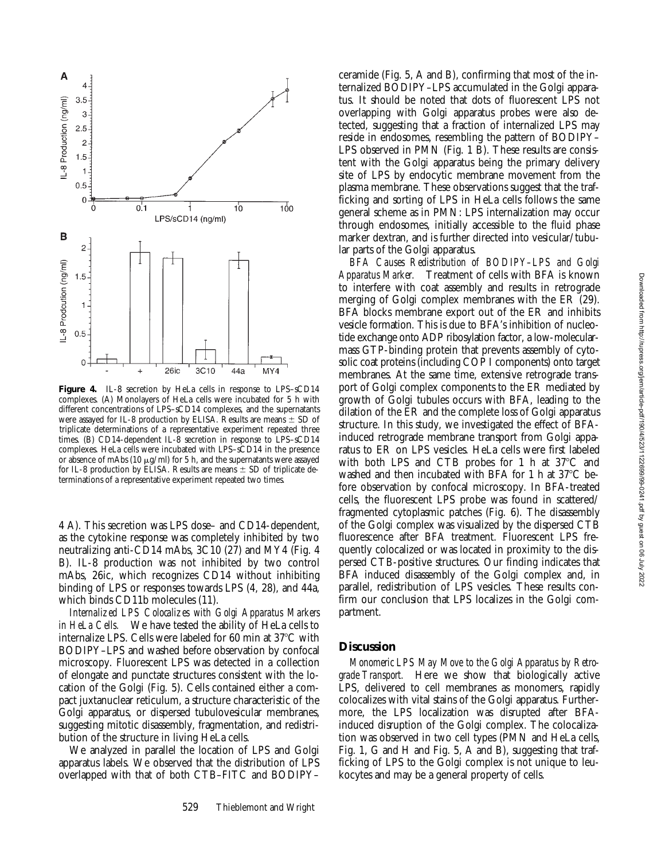

**Figure 4.** IL-8 secretion by HeLa cells in response to LPS–sCD14 complexes. (A) Monolayers of HeLa cells were incubated for 5 h with different concentrations of LPS–sCD14 complexes, and the supernatants were assayed for IL-8 production by ELISA. Results are means  $\pm$  SD of triplicate determinations of a representative experiment repeated three times. (B) CD14-dependent IL-8 secretion in response to LPS–sCD14 complexes. HeLa cells were incubated with LPS–sCD14 in the presence or absence of mAbs (10  $\mu$ g/ml) for 5 h, and the supernatants were assayed for IL-8 production by ELISA. Results are means  $\pm$  SD of triplicate determinations of a representative experiment repeated two times.

4 A). This secretion was LPS dose– and CD14-dependent, as the cytokine response was completely inhibited by two neutralizing anti-CD14 mAbs, 3C10 (27) and MY4 (Fig. 4 B). IL-8 production was not inhibited by two control mAbs, 26ic, which recognizes CD14 without inhibiting binding of LPS or responses towards LPS (4, 28), and 44a, which binds CD11b molecules (11).

*Internalized LPS Colocalizes with Golgi Apparatus Markers in HeLa Cells.* We have tested the ability of HeLa cells to internalize LPS. Cells were labeled for 60 min at  $37^{\circ}$ C with BODIPY–LPS and washed before observation by confocal microscopy. Fluorescent LPS was detected in a collection of elongate and punctate structures consistent with the location of the Golgi (Fig. 5). Cells contained either a compact juxtanuclear reticulum, a structure characteristic of the Golgi apparatus, or dispersed tubulovesicular membranes, suggesting mitotic disassembly, fragmentation, and redistribution of the structure in living HeLa cells.

We analyzed in parallel the location of LPS and Golgi apparatus labels. We observed that the distribution of LPS overlapped with that of both CTB–FITC and BODIPY– ceramide (Fig. 5, A and B), confirming that most of the internalized BODIPY–LPS accumulated in the Golgi apparatus. It should be noted that dots of fluorescent LPS not overlapping with Golgi apparatus probes were also detected, suggesting that a fraction of internalized LPS may reside in endosomes, resembling the pattern of BODIPY– LPS observed in PMN (Fig. 1 B). These results are consistent with the Golgi apparatus being the primary delivery site of LPS by endocytic membrane movement from the plasma membrane. These observations suggest that the trafficking and sorting of LPS in HeLa cells follows the same general scheme as in PMN: LPS internalization may occur through endosomes, initially accessible to the fluid phase marker dextran, and is further directed into vesicular/tubular parts of the Golgi apparatus.

*BFA Causes Redistribution of BODIPY–LPS and Golgi Apparatus Marker.* Treatment of cells with BFA is known to interfere with coat assembly and results in retrograde merging of Golgi complex membranes with the ER (29). BFA blocks membrane export out of the ER and inhibits vesicle formation. This is due to BFA's inhibition of nucleotide exchange onto ADP ribosylation factor, a low-molecularmass GTP-binding protein that prevents assembly of cytosolic coat proteins (including COP I components) onto target membranes. At the same time, extensive retrograde transport of Golgi complex components to the ER mediated by growth of Golgi tubules occurs with BFA, leading to the dilation of the ER and the complete loss of Golgi apparatus structure. In this study, we investigated the effect of BFAinduced retrograde membrane transport from Golgi apparatus to ER on LPS vesicles. HeLa cells were first labeled with both LPS and CTB probes for 1 h at  $37^{\circ}$ C and washed and then incubated with BFA for 1 h at  $37^{\circ}$ C before observation by confocal microscopy. In BFA-treated cells, the fluorescent LPS probe was found in scattered/ fragmented cytoplasmic patches (Fig. 6). The disassembly of the Golgi complex was visualized by the dispersed CTB fluorescence after BFA treatment. Fluorescent LPS frequently colocalized or was located in proximity to the dispersed CTB-positive structures. Our finding indicates that BFA induced disassembly of the Golgi complex and, in parallel, redistribution of LPS vesicles. These results confirm our conclusion that LPS localizes in the Golgi compartment.

### **Discussion**

*Monomeric LPS May Move to the Golgi Apparatus by Retrograde Transport.* Here we show that biologically active LPS, delivered to cell membranes as monomers, rapidly colocalizes with vital stains of the Golgi apparatus. Furthermore, the LPS localization was disrupted after BFAinduced disruption of the Golgi complex. The colocalization was observed in two cell types (PMN and HeLa cells, Fig. 1, G and H and Fig. 5, A and B), suggesting that trafficking of LPS to the Golgi complex is not unique to leukocytes and may be a general property of cells.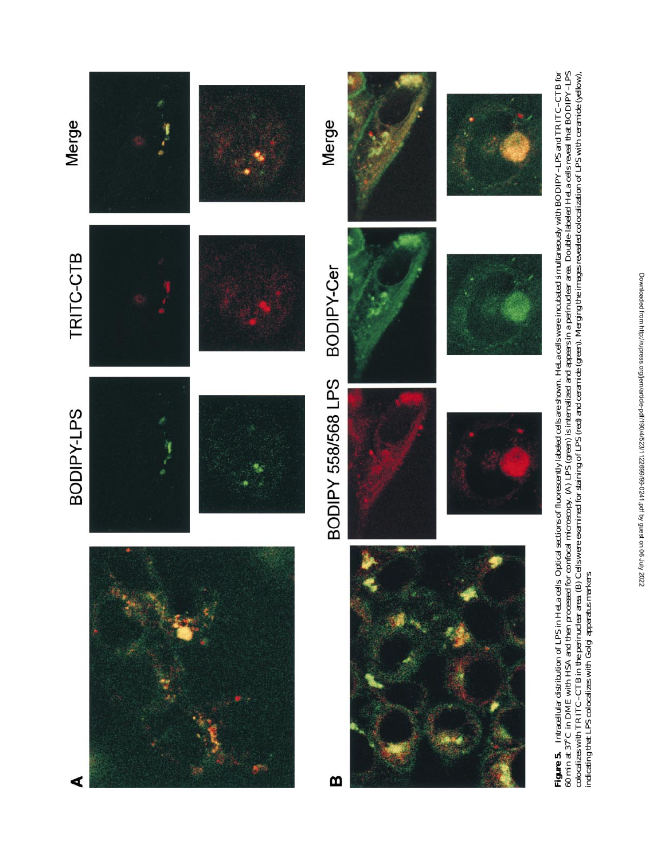

**Figure 5.** Intracellular distribution of LPS in HeLa cells. Optical sections of fluorescently labeled cells are shown. HeLa cells were incubated simultaneously with BODIPY–LPS and TRITC–CTB for<br>60 min at 37°C in DME with colocalizes with TRITC–CTB in the perinuclear area. (B) Cells were examined for staining of LPS (red) and ceramide (green). Merging the images revealed colocalization of LPS with ceramide (yellow), indicating that LPS colocalizes with Golgi apparatus markers.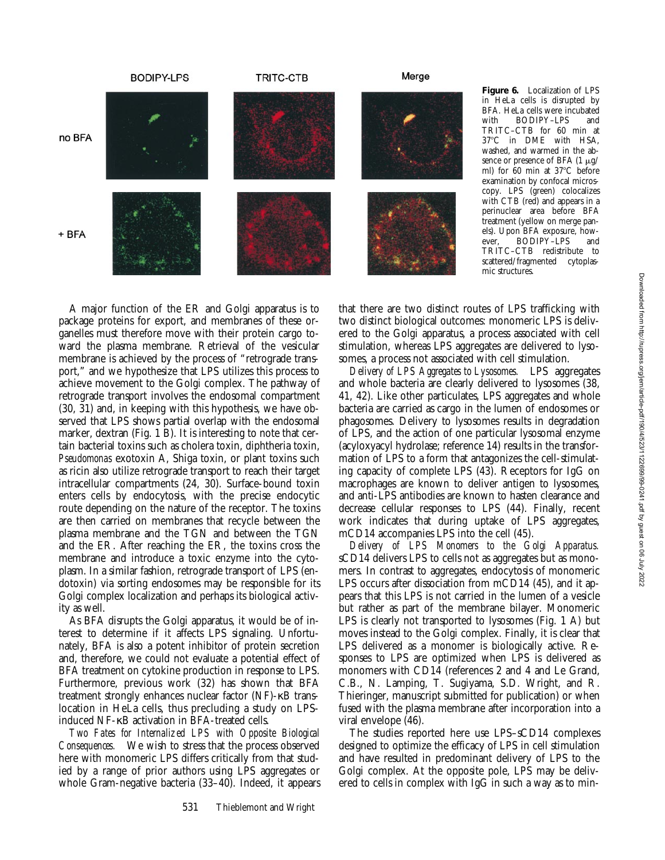

**Figure 6.** Localization of LPS in HeLa cells is disrupted by BFA. HeLa cells were incubated<br>with BODIPY-LPS and BODIPY-LPS and TRITC–CTB for 60 min at 37°C in DME with HSA, washed, and warmed in the absence or presence of BFA  $(1 \mu g)$ ml) for  $60$  min at  $37^{\circ}$ C before examination by confocal microscopy. LPS (green) colocalizes with CTB (red) and appears in a perinuclear area before BFA treatment (yellow on merge panels). Upon BFA exposure, however, BODIPY-LPS TRITC–CTB redistribute to scattered/fragmented cytoplasmic structures.

A major function of the ER and Golgi apparatus is to package proteins for export, and membranes of these organelles must therefore move with their protein cargo toward the plasma membrane. Retrieval of the vesicular membrane is achieved by the process of "retrograde transport," and we hypothesize that LPS utilizes this process to achieve movement to the Golgi complex. The pathway of retrograde transport involves the endosomal compartment (30, 31) and, in keeping with this hypothesis, we have observed that LPS shows partial overlap with the endosomal marker, dextran (Fig. 1 B). It is interesting to note that certain bacterial toxins such as cholera toxin, diphtheria toxin, *Pseudomonas* exotoxin A, Shiga toxin, or plant toxins such as ricin also utilize retrograde transport to reach their target intracellular compartments (24, 30). Surface-bound toxin enters cells by endocytosis, with the precise endocytic route depending on the nature of the receptor. The toxins are then carried on membranes that recycle between the plasma membrane and the TGN and between the TGN and the ER. After reaching the ER, the toxins cross the membrane and introduce a toxic enzyme into the cytoplasm. In a similar fashion, retrograde transport of LPS (endotoxin) via sorting endosomes may be responsible for its Golgi complex localization and perhaps its biological activity as well.

As BFA disrupts the Golgi apparatus, it would be of interest to determine if it affects LPS signaling. Unfortunately, BFA is also a potent inhibitor of protein secretion and, therefore, we could not evaluate a potential effect of BFA treatment on cytokine production in response to LPS. Furthermore, previous work (32) has shown that BFA treatment strongly enhances nuclear factor (NF)-κB translocation in HeLa cells, thus precluding a study on LPSinduced NF-κB activation in BFA-treated cells.

*Two Fates for Internalized LPS with Opposite Biological Consequences.* We wish to stress that the process observed here with monomeric LPS differs critically from that studied by a range of prior authors using LPS aggregates or whole Gram-negative bacteria (33–40). Indeed, it appears that there are two distinct routes of LPS trafficking with two distinct biological outcomes: monomeric LPS is delivered to the Golgi apparatus, a process associated with cell stimulation, whereas LPS aggregates are delivered to lysosomes, a process not associated with cell stimulation.

*Delivery of LPS Aggregates to Lysosomes.* LPS aggregates and whole bacteria are clearly delivered to lysosomes (38, 41, 42). Like other particulates, LPS aggregates and whole bacteria are carried as cargo in the lumen of endosomes or phagosomes. Delivery to lysosomes results in degradation of LPS, and the action of one particular lysosomal enzyme (acyloxyacyl hydrolase; reference 14) results in the transformation of LPS to a form that antagonizes the cell-stimulating capacity of complete LPS (43). Receptors for IgG on macrophages are known to deliver antigen to lysosomes, and anti-LPS antibodies are known to hasten clearance and decrease cellular responses to LPS (44). Finally, recent work indicates that during uptake of LPS aggregates, mCD14 accompanies LPS into the cell (45).

*Delivery of LPS Monomers to the Golgi Apparatus.* sCD14 delivers LPS to cells not as aggregates but as monomers. In contrast to aggregates, endocytosis of monomeric LPS occurs after dissociation from mCD14 (45), and it appears that this LPS is not carried in the lumen of a vesicle but rather as part of the membrane bilayer. Monomeric LPS is clearly not transported to lysosomes (Fig. 1 A) but moves instead to the Golgi complex. Finally, it is clear that LPS delivered as a monomer is biologically active. Responses to LPS are optimized when LPS is delivered as monomers with CD14 (references 2 and 4 and Le Grand, C.B., N. Lamping, T. Sugiyama, S.D. Wright, and R. Thieringer, manuscript submitted for publication) or when fused with the plasma membrane after incorporation into a viral envelope (46).

The studies reported here use LPS–sCD14 complexes designed to optimize the efficacy of LPS in cell stimulation and have resulted in predominant delivery of LPS to the Golgi complex. At the opposite pole, LPS may be delivered to cells in complex with IgG in such a way as to min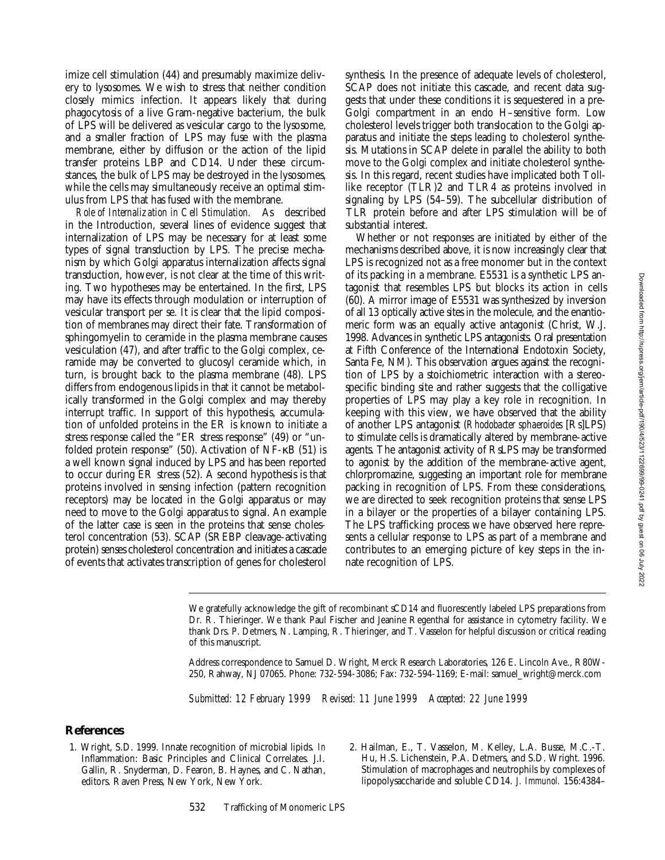imize cell stimulation (44) and presumably maximize delivery to lysosomes. We wish to stress that neither condition closely mimics infection. It appears likely that during phagocytosis of a live Gram-negative bacterium, the bulk of LPS will be delivered as vesicular cargo to the lysosome, and a smaller fraction of LPS may fuse with the plasma membrane, either by diffusion or the action of the lipid transfer proteins LBP and CD14. Under these circumstances, the bulk of LPS may be destroyed in the lysosomes, while the cells may simultaneously receive an optimal stimulus from LPS that has fused with the membrane.

*Role of Internalization in Cell Stimulation.* As described in the Introduction, several lines of evidence suggest that internalization of LPS may be necessary for at least some types of signal transduction by LPS. The precise mechanism by which Golgi apparatus internalization affects signal transduction, however, is not clear at the time of this writing. Two hypotheses may be entertained. In the first, LPS may have its effects through modulation or interruption of vesicular transport per se. It is clear that the lipid composition of membranes may direct their fate. Transformation of sphingomyelin to ceramide in the plasma membrane causes vesiculation (47), and after traffic to the Golgi complex, ceramide may be converted to glucosyl ceramide which, in turn, is brought back to the plasma membrane (48). LPS differs from endogenous lipids in that it cannot be metabolically transformed in the Golgi complex and may thereby interrupt traffic. In support of this hypothesis, accumulation of unfolded proteins in the ER is known to initiate a stress response called the "ER stress response" (49) or "unfolded protein response" (50). Activation of NF-κB (51) is a well known signal induced by LPS and has been reported to occur during ER stress (52). A second hypothesis is that proteins involved in sensing infection (pattern recognition receptors) may be located in the Golgi apparatus or may need to move to the Golgi apparatus to signal. An example of the latter case is seen in the proteins that sense cholesterol concentration (53). SCAP (SREBP cleavage-activating protein) senses cholesterol concentration and initiates a cascade of events that activates transcription of genes for cholesterol

synthesis. In the presence of adequate levels of cholesterol, SCAP does not initiate this cascade, and recent data suggests that under these conditions it is sequestered in a pre-Golgi compartment in an endo H–sensitive form. Low cholesterol levels trigger both translocation to the Golgi apparatus and initiate the steps leading to cholesterol synthesis. Mutations in SCAP delete in parallel the ability to both move to the Golgi complex and initiate cholesterol synthesis. In this regard, recent studies have implicated both Tolllike receptor (TLR)2 and TLR4 as proteins involved in signaling by LPS (54–59). The subcellular distribution of TLR protein before and after LPS stimulation will be of substantial interest.

Whether or not responses are initiated by either of the mechanisms described above, it is now increasingly clear that LPS is recognized not as a free monomer but in the context of its packing in a membrane. E5531 is a synthetic LPS antagonist that resembles LPS but blocks its action in cells (60). A mirror image of E5531 was synthesized by inversion of all 13 optically active sites in the molecule, and the enantiomeric form was an equally active antagonist (Christ, W.J. 1998. Advances in synthetic LPS antagonists. Oral presentation at Fifth Conference of the International Endotoxin Society, Santa Fe, NM). This observation argues against the recognition of LPS by a stoichiometric interaction with a stereospecific binding site and rather suggests that the colligative properties of LPS may play a key role in recognition. In keeping with this view, we have observed that the ability of another LPS antagonist (*Rhodobacter sphaeroides* [Rs]LPS) to stimulate cells is dramatically altered by membrane-active agents. The antagonist activity of RsLPS may be transformed to agonist by the addition of the membrane-active agent, chlorpromazine, suggesting an important role for membrane packing in recognition of LPS. From these considerations, we are directed to seek recognition proteins that sense LPS in a bilayer or the properties of a bilayer containing LPS. The LPS trafficking process we have observed here represents a cellular response to LPS as part of a membrane and contributes to an emerging picture of key steps in the innate recognition of LPS.

*Submitted: 12 February 1999 Revised: 11 June 1999 Accepted: 22 June 1999*

### **References**

- 1. Wright, S.D. 1999. Innate recognition of microbial lipids. *In* Inflammation: Basic Principles and Clinical Correlates. J.I. Gallin, R. Snyderman, D. Fearon, B. Haynes, and C. Nathan, editors. Raven Press, New York, New York.
- 2. Hailman, E., T. Vasselon, M. Kelley, L.A. Busse, M.C.-T. Hu, H.S. Lichenstein, P.A. Detmers, and S.D. Wright. 1996. Stimulation of macrophages and neutrophils by complexes of lipopolysaccharide and soluble CD14. *J. Immunol.* 156:4384–

We gratefully acknowledge the gift of recombinant sCD14 and fluorescently labeled LPS preparations from Dr. R. Thieringer. We thank Paul Fischer and Jeanine Regenthal for assistance in cytometry facility. We thank Drs. P. Detmers, N. Lamping, R. Thieringer, and T. Vasselon for helpful discussion or critical reading of this manuscript.

Address correspondence to Samuel D. Wright, Merck Research Laboratories, 126 E. Lincoln Ave., R80W-250, Rahway, NJ 07065. Phone: 732-594-3086; Fax: 732-594-1169; E-mail: samuel\_wright@merck.com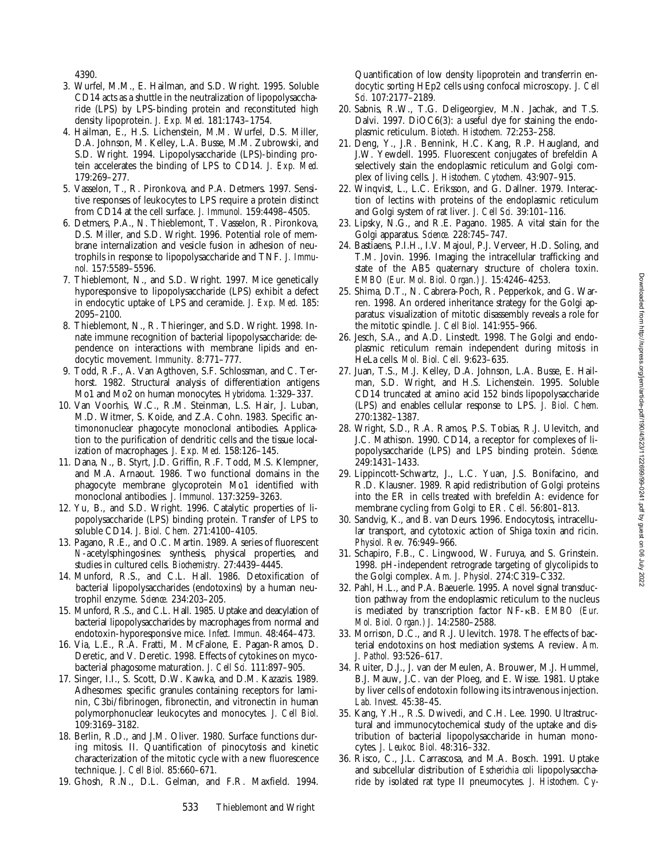4390.

- 3. Wurfel, M.M., E. Hailman, and S.D. Wright. 1995. Soluble CD14 acts as a shuttle in the neutralization of lipopolysaccharide (LPS) by LPS-binding protein and reconstituted high density lipoprotein. *J. Exp. Med.* 181:1743–1754.
- 4. Hailman, E., H.S. Lichenstein, M.M. Wurfel, D.S. Miller, D.A. Johnson, M. Kelley, L.A. Busse, M.M. Zubrowski, and S.D. Wright. 1994. Lipopolysaccharide (LPS)-binding protein accelerates the binding of LPS to CD14. *J. Exp. Med.* 179:269–277.
- 5. Vasselon, T., R. Pironkova, and P.A. Detmers. 1997. Sensitive responses of leukocytes to LPS require a protein distinct from CD14 at the cell surface. *J. Immunol.* 159:4498–4505.
- 6. Detmers, P.A., N. Thieblemont, T. Vasselon, R. Pironkova, D.S. Miller, and S.D. Wright. 1996. Potential role of membrane internalization and vesicle fusion in adhesion of neutrophils in response to lipopolysaccharide and TNF. *J. Immunol.* 157:5589–5596.
- 7. Thieblemont, N., and S.D. Wright. 1997. Mice genetically hyporesponsive to lipopolysaccharide (LPS) exhibit a defect in endocytic uptake of LPS and ceramide. *J. Exp. Med.* 185: 2095–2100.
- 8. Thieblemont, N., R. Thieringer, and S.D. Wright. 1998. Innate immune recognition of bacterial lipopolysaccharide: dependence on interactions with membrane lipids and endocytic movement. *Immunity.* 8:771–777.
- 9. Todd, R.F., A. Van Agthoven, S.F. Schlossman, and C. Terhorst. 1982. Structural analysis of differentiation antigens Mo1 and Mo2 on human monocytes. *Hybridoma.* 1:329–337.
- 10. Van Voorhis, W.C., R.M. Steinman, L.S. Hair, J. Luban, M.D. Witmer, S. Koide, and Z.A. Cohn. 1983. Specific antimononuclear phagocyte monoclonal antibodies. Application to the purification of dendritic cells and the tissue localization of macrophages. *J. Exp. Med.* 158:126–145.
- 11. Dana, N., B. Styrt, J.D. Griffin, R.F. Todd, M.S. Klempner, and M.A. Arnaout. 1986. Two functional domains in the phagocyte membrane glycoprotein Mo1 identified with monoclonal antibodies. *J. Immunol.* 137:3259–3263.
- 12. Yu, B., and S.D. Wright. 1996. Catalytic properties of lipopolysaccharide (LPS) binding protein. Transfer of LPS to soluble CD14. *J. Biol. Chem.* 271:4100–4105.
- 13. Pagano, R.E., and O.C. Martin. 1989. A series of fluorescent *N*-acetylsphingosines: synthesis, physical properties, and studies in cultured cells. *Biochemistry.* 27:4439–4445.
- 14. Munford, R.S., and C.L. Hall. 1986. Detoxification of bacterial lipopolysaccharides (endotoxins) by a human neutrophil enzyme. *Science.* 234:203–205.
- 15. Munford, R.S., and C.L. Hall. 1985. Uptake and deacylation of bacterial lipopolysaccharides by macrophages from normal and endotoxin-hyporesponsive mice. *Infect. Immun.* 48:464–473.
- 16. Via, L.E., R.A. Fratti, M. McFalone, E. Pagan-Ramos, D. Deretic, and V. Deretic. 1998. Effects of cytokines on mycobacterial phagosome maturation. *J. Cell Sci.* 111:897–905.
- 17. Singer, I.I., S. Scott, D.W. Kawka, and D.M. Kazazis. 1989. Adhesomes: specific granules containing receptors for laminin, C3bi/fibrinogen, fibronectin, and vitronectin in human polymorphonuclear leukocytes and monocytes. *J. Cell Biol.* 109:3169–3182.
- 18. Berlin, R.D., and J.M. Oliver. 1980. Surface functions during mitosis. II. Quantification of pinocytosis and kinetic characterization of the mitotic cycle with a new fluorescence technique. *J. Cell Biol.* 85:660–671.
- 19. Ghosh, R.N., D.L. Gelman, and F.R. Maxfield. 1994.

Quantification of low density lipoprotein and transferrin endocytic sorting HEp2 cells using confocal microscopy. *J. Cell Sci.* 107:2177–2189.

- 20. Sabnis, R.W., T.G. Deligeorgiev, M.N. Jachak, and T.S. Dalvi. 1997. DiOC6(3): a useful dye for staining the endoplasmic reticulum. *Biotech. Histochem.* 72:253–258.
- 21. Deng, Y., J.R. Bennink, H.C. Kang, R.P. Haugland, and J.W. Yewdell. 1995. Fluorescent conjugates of brefeldin A selectively stain the endoplasmic reticulum and Golgi complex of living cells. *J. Histochem. Cytochem.* 43:907–915.
- 22. Winqvist, L., L.C. Eriksson, and G. Dallner. 1979. Interaction of lectins with proteins of the endoplasmic reticulum and Golgi system of rat liver. *J. Cell Sci.* 39:101–116.
- 23. Lipsky, N.G., and R.E. Pagano. 1985. A vital stain for the Golgi apparatus. *Science.* 228:745–747.
- 24. Bastiaens, P.I.H., I.V. Majoul, P.J. Verveer, H.D. Soling, and T.M. Jovin. 1996. Imaging the intracellular trafficking and state of the AB5 quaternary structure of cholera toxin. *EMBO (Eur. Mol. Biol. Organ.) J.* 15:4246–4253.
- 25. Shima, D.T., N. Cabrera-Poch, R. Pepperkok, and G. Warren. 1998. An ordered inheritance strategy for the Golgi apparatus: visualization of mitotic disassembly reveals a role for the mitotic spindle. *J. Cell Biol.* 141:955–966.
- 26. Jesch, S.A., and A.D. Linstedt. 1998. The Golgi and endoplasmic reticulum remain independent during mitosis in HeLa cells. *Mol. Biol. Cell.* 9:623–635.
- 27. Juan, T.S., M.J. Kelley, D.A. Johnson, L.A. Busse, E. Hailman, S.D. Wright, and H.S. Lichenstein. 1995. Soluble CD14 truncated at amino acid 152 binds lipopolysaccharide (LPS) and enables cellular response to LPS. *J. Biol. Chem.* 270:1382–1387.
- 28. Wright, S.D., R.A. Ramos, P.S. Tobias, R.J. Ulevitch, and J.C. Mathison. 1990. CD14, a receptor for complexes of lipopolysaccharide (LPS) and LPS binding protein. *Science.* 249:1431–1433.
- 29. Lippincott-Schwartz, J., L.C. Yuan, J.S. Bonifacino, and R.D. Klausner. 1989. Rapid redistribution of Golgi proteins into the ER in cells treated with brefeldin A: evidence for membrane cycling from Golgi to ER. *Cell.* 56:801–813.
- 30. Sandvig, K., and B. van Deurs. 1996. Endocytosis, intracellular transport, and cytotoxic action of Shiga toxin and ricin. *Physiol. Rev.* 76:949–966.
- 31. Schapiro, F.B., C. Lingwood, W. Furuya, and S. Grinstein. 1998. pH-independent retrograde targeting of glycolipids to the Golgi complex. *Am. J. Physiol.* 274:C319–C332.
- 32. Pahl, H.L., and P.A. Baeuerle. 1995. A novel signal transduction pathway from the endoplasmic reticulum to the nucleus is mediated by transcription factor NF-kB. *EMBO (Eur. Mol. Biol. Organ.) J.* 14:2580–2588.
- 33. Morrison, D.C., and R.J. Ulevitch. 1978. The effects of bacterial endotoxins on host mediation systems. A review. *Am. J. Pathol.* 93:526–617.
- 34. Ruiter, D.J., J. van der Meulen, A. Brouwer, M.J. Hummel, B.J. Mauw, J.C. van der Ploeg, and E. Wisse. 1981. Uptake by liver cells of endotoxin following its intravenous injection. *Lab. Invest.* 45:38–45.
- 35. Kang, Y.H., R.S. Dwivedi, and C.H. Lee. 1990. Ultrastructural and immunocytochemical study of the uptake and distribution of bacterial lipopolysaccharide in human monocytes. *J. Leukoc. Biol.* 48:316–332.
- 36. Risco, C., J.L. Carrascosa, and M.A. Bosch. 1991. Uptake and subcellular distribution of *Escherichia coli* lipopolysaccharide by isolated rat type II pneumocytes. *J. Histochem. Cy-*